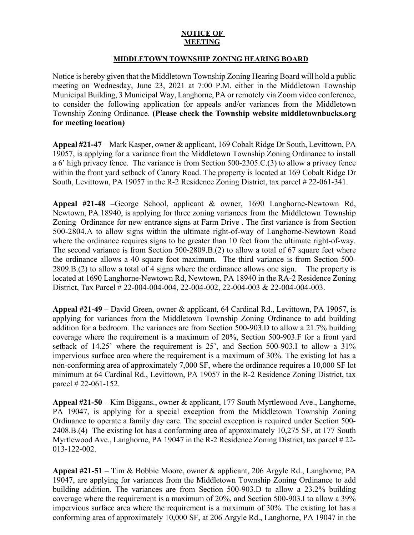## **NOTICE OF MEETING**

## **MIDDLETOWN TOWNSHIP ZONING HEARING BOARD**

Notice is hereby given that the Middletown Township Zoning Hearing Board will hold a public meeting on Wednesday, June 23, 2021 at 7:00 P.M. either in the Middletown Township Municipal Building, 3 Municipal Way, Langhorne, PA or remotely via Zoom video conference, to consider the following application for appeals and/or variances from the Middletown Township Zoning Ordinance. **(Please check the Township website middletownbucks.org for meeting location)** 

**Appeal #21-47** – Mark Kasper, owner & applicant, 169 Cobalt Ridge Dr South, Levittown, PA 19057, is applying for a variance from the Middletown Township Zoning Ordinance to install a 6' high privacy fence. The variance is from Section 500-2305.C.(3) to allow a privacy fence within the front yard setback of Canary Road. The property is located at 169 Cobalt Ridge Dr South, Levittown, PA 19057 in the R-2 Residence Zoning District, tax parcel # 22-061-341.

**Appeal #21-48 –**George School, applicant & owner, 1690 Langhorne-Newtown Rd, Newtown, PA 18940, is applying for three zoning variances from the Middletown Township Zoning Ordinance for new entrance signs at Farm Drive . The first variance is from Section 500-2804.A to allow signs within the ultimate right-of-way of Langhorne-Newtown Road where the ordinance requires signs to be greater than 10 feet from the ultimate right-of-way. The second variance is from Section 500-2809.B.(2) to allow a total of 67 square feet where the ordinance allows a 40 square foot maximum. The third variance is from Section 500- 2809.B.(2) to allow a total of 4 signs where the ordinance allows one sign. The property is located at 1690 Langhorne-Newtown Rd, Newtown, PA 18940 in the RA-2 Residence Zoning District, Tax Parcel # 22-004-004-004, 22-004-002, 22-004-003 & 22-004-004-003.

**Appeal #21-49** – David Green, owner & applicant, 64 Cardinal Rd., Levittown, PA 19057, is applying for variances from the Middletown Township Zoning Ordinance to add building addition for a bedroom. The variances are from Section 500-903.D to allow a 21.7% building coverage where the requirement is a maximum of 20%, Section 500-903.F for a front yard setback of 14.25' where the requirement is 25', and Section 500-903.I to allow a 31% impervious surface area where the requirement is a maximum of 30%. The existing lot has a non-conforming area of approximately 7,000 SF, where the ordinance requires a 10,000 SF lot minimum at 64 Cardinal Rd., Levittown, PA 19057 in the R-2 Residence Zoning District, tax parcel # 22-061-152.

**Appeal #21-50** – Kim Biggans., owner & applicant, 177 South Myrtlewood Ave., Langhorne, PA 19047, is applying for a special exception from the Middletown Township Zoning Ordinance to operate a family day care. The special exception is required under Section 500- 2408.B.(4) The existing lot has a conforming area of approximately 10,275 SF, at 177 South Myrtlewood Ave., Langhorne, PA 19047 in the R-2 Residence Zoning District, tax parcel # 22- 013-122-002.

**Appeal #21-51** – Tim & Bobbie Moore, owner & applicant, 206 Argyle Rd., Langhorne, PA 19047, are applying for variances from the Middletown Township Zoning Ordinance to add building addition. The variances are from Section 500-903.D to allow a 23.2% building coverage where the requirement is a maximum of 20%, and Section 500-903.I to allow a 39% impervious surface area where the requirement is a maximum of 30%. The existing lot has a conforming area of approximately 10,000 SF, at 206 Argyle Rd., Langhorne, PA 19047 in the